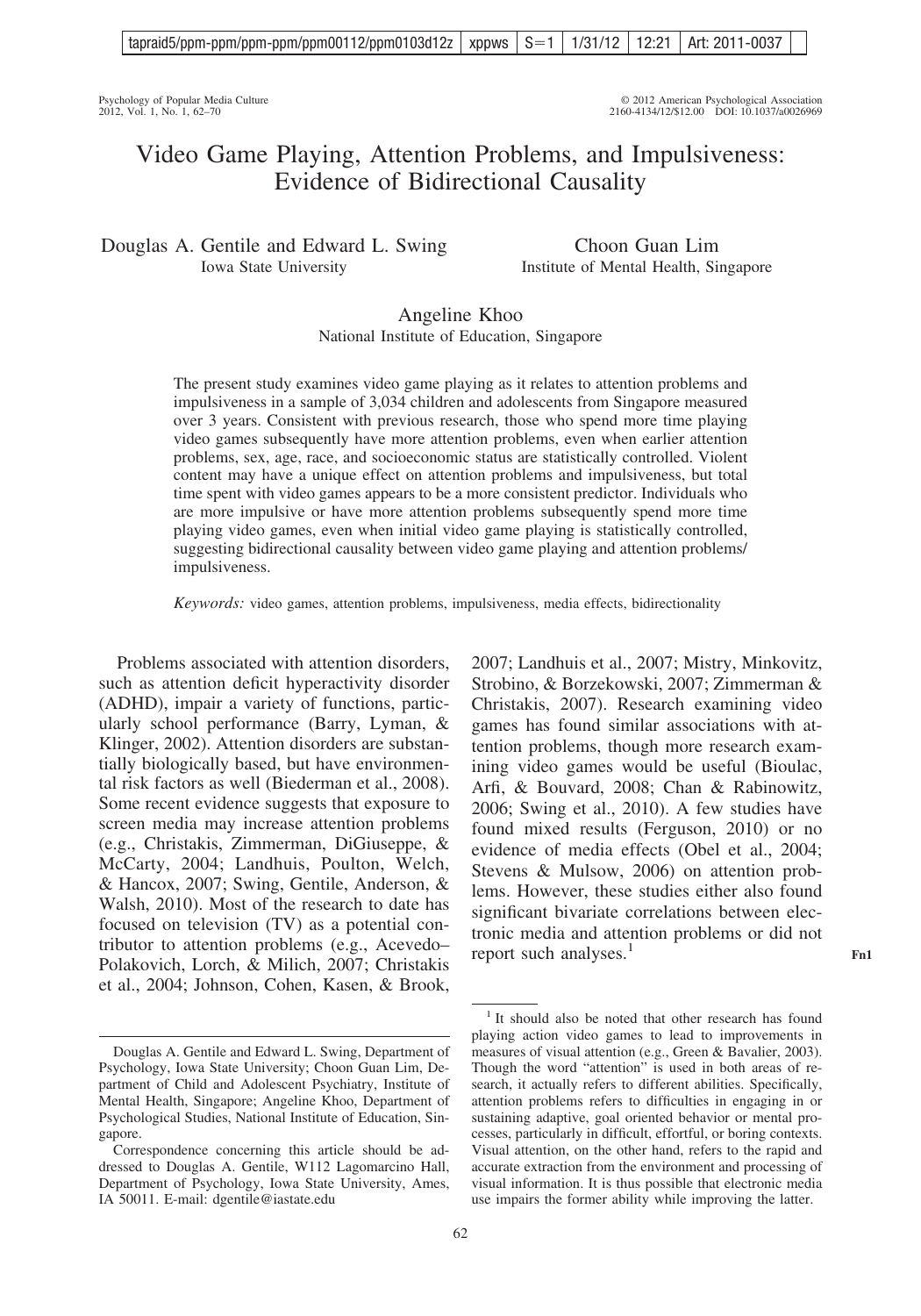Psychology of Popular Media Culture © 2012 American Psychological Association 2012, Vol. 1, No. 1, 62–70 2160-4134/12/\$12.00 DOI: 10.1037/a0026969

# Video Game Playing, Attention Problems, and Impulsiveness: Evidence of Bidirectional Causality

Douglas A. Gentile and Edward L. Swing Iowa State University

Choon Guan Lim Institute of Mental Health, Singapore

2007; Landhuis et al., 2007; Mistry, Minkovitz, Strobino, & Borzekowski, 2007; Zimmerman & Christakis, 2007). Research examining video games has found similar associations with attention problems, though more research examining video games would be useful (Bioulac, Arfi, & Bouvard, 2008; Chan & Rabinowitz, 2006; Swing et al., 2010). A few studies have found mixed results (Ferguson, 2010) or no evidence of media effects (Obel et al., 2004; Stevens & Mulsow, 2006) on attention problems. However, these studies either also found significant bivariate correlations between electronic media and attention problems or did not

# Angeline Khoo National Institute of Education, Singapore

The present study examines video game playing as it relates to attention problems and impulsiveness in a sample of 3,034 children and adolescents from Singapore measured over 3 years. Consistent with previous research, those who spend more time playing video games subsequently have more attention problems, even when earlier attention problems, sex, age, race, and socioeconomic status are statistically controlled. Violent content may have a unique effect on attention problems and impulsiveness, but total time spent with video games appears to be a more consistent predictor. Individuals who are more impulsive or have more attention problems subsequently spend more time playing video games, even when initial video game playing is statistically controlled, suggesting bidirectional causality between video game playing and attention problems/ impulsiveness.

*Keywords:* video games, attention problems, impulsiveness, media effects, bidirectionality

Problems associated with attention disorders, such as attention deficit hyperactivity disorder (ADHD), impair a variety of functions, particularly school performance (Barry, Lyman, & Klinger, 2002). Attention disorders are substantially biologically based, but have environmental risk factors as well (Biederman et al., 2008). Some recent evidence suggests that exposure to screen media may increase attention problems (e.g., Christakis, Zimmerman, DiGiuseppe, & McCarty, 2004; Landhuis, Poulton, Welch, & Hancox, 2007; Swing, Gentile, Anderson, & Walsh, 2010). Most of the research to date has focused on television (TV) as a potential contributor to attention problems (e.g., Acevedo– Polakovich, Lorch, & Milich, 2007; Christakis et al., 2004; Johnson, Cohen, Kasen, & Brook,

<sup>1</sup> It should also be noted that other research has found playing action video games to lead to improvements in measures of visual attention (e.g., Green & Bavalier, 2003). Though the word "attention" is used in both areas of research, it actually refers to different abilities. Specifically, attention problems refers to difficulties in engaging in or

report such analyses.<sup>1</sup>

Douglas A. Gentile and Edward L. Swing, Department of Psychology, Iowa State University; Choon Guan Lim, Department of Child and Adolescent Psychiatry, Institute of Mental Health, Singapore; Angeline Khoo, Department of Psychological Studies, National Institute of Education, Singapore.

Correspondence concerning this article should be addressed to Douglas A. Gentile, W112 Lagomarcino Hall, Department of Psychology, Iowa State University, Ames, IA 50011. E-mail: dgentile@iastate.edu

sustaining adaptive, goal oriented behavior or mental processes, particularly in difficult, effortful, or boring contexts. Visual attention, on the other hand, refers to the rapid and accurate extraction from the environment and processing of visual information. It is thus possible that electronic media use impairs the former ability while improving the latter.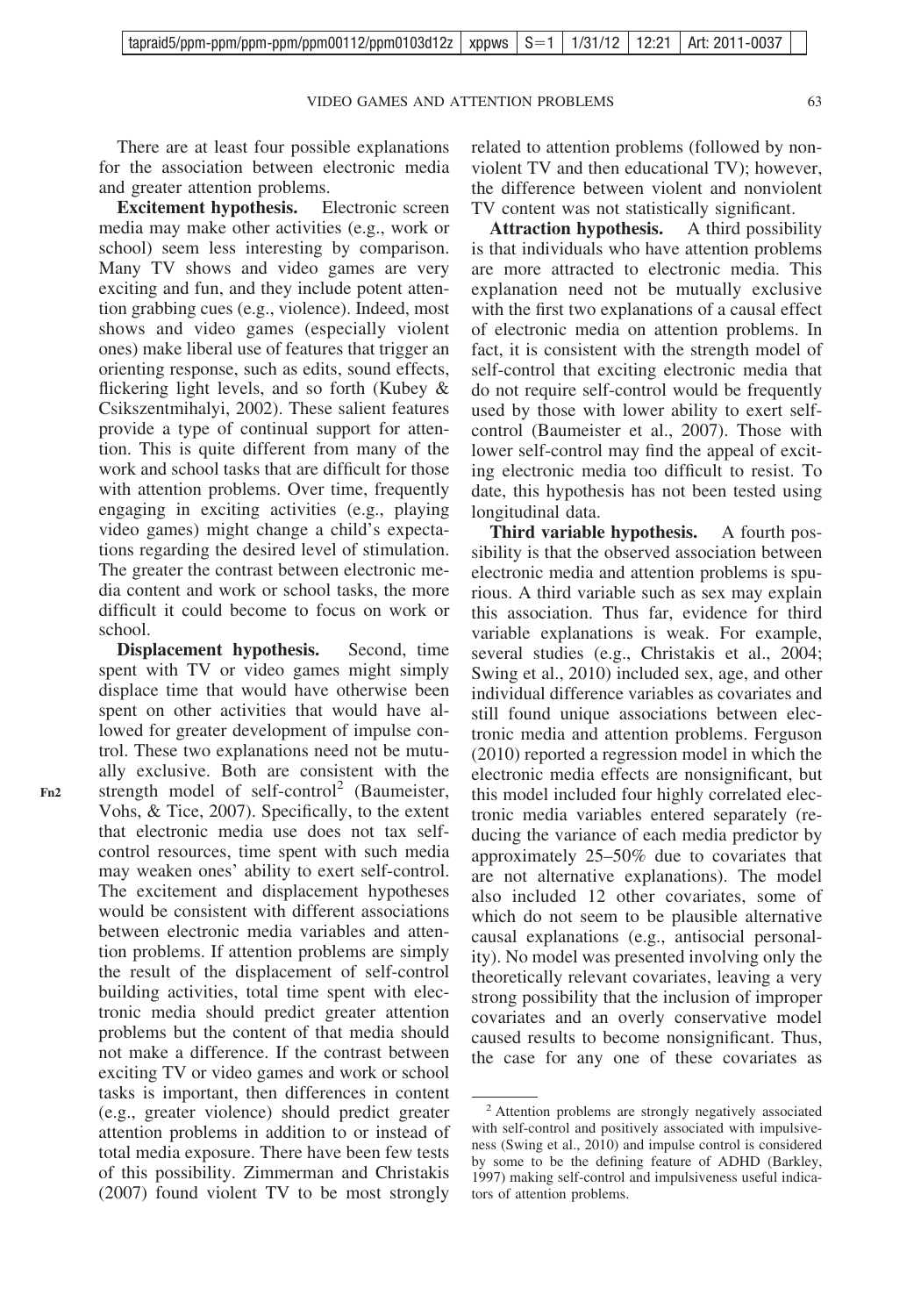There are at least four possible explanations for the association between electronic media and greater attention problems.

**Excitement hypothesis.** Electronic screen media may make other activities (e.g., work or school) seem less interesting by comparison. Many TV shows and video games are very exciting and fun, and they include potent attention grabbing cues (e.g., violence). Indeed, most shows and video games (especially violent ones) make liberal use of features that trigger an orienting response, such as edits, sound effects, flickering light levels, and so forth (Kubey & Csikszentmihalyi, 2002). These salient features provide a type of continual support for attention. This is quite different from many of the work and school tasks that are difficult for those with attention problems. Over time, frequently engaging in exciting activities (e.g., playing video games) might change a child's expectations regarding the desired level of stimulation. The greater the contrast between electronic media content and work or school tasks, the more difficult it could become to focus on work or school.

**Displacement hypothesis.** Second, time spent with TV or video games might simply displace time that would have otherwise been spent on other activities that would have allowed for greater development of impulse control. These two explanations need not be mutually exclusive. Both are consistent with the strength model of self-control<sup>2</sup> (Baumeister, Vohs, & Tice, 2007). Specifically, to the extent that electronic media use does not tax selfcontrol resources, time spent with such media may weaken ones' ability to exert self-control. The excitement and displacement hypotheses would be consistent with different associations between electronic media variables and attention problems. If attention problems are simply the result of the displacement of self-control building activities, total time spent with electronic media should predict greater attention problems but the content of that media should not make a difference. If the contrast between exciting TV or video games and work or school tasks is important, then differences in content (e.g., greater violence) should predict greater attention problems in addition to or instead of total media exposure. There have been few tests of this possibility. Zimmerman and Christakis (2007) found violent TV to be most strongly related to attention problems (followed by nonviolent TV and then educational TV); however, the difference between violent and nonviolent TV content was not statistically significant.

**Attraction hypothesis.** A third possibility is that individuals who have attention problems are more attracted to electronic media. This explanation need not be mutually exclusive with the first two explanations of a causal effect of electronic media on attention problems. In fact, it is consistent with the strength model of self-control that exciting electronic media that do not require self-control would be frequently used by those with lower ability to exert selfcontrol (Baumeister et al., 2007). Those with lower self-control may find the appeal of exciting electronic media too difficult to resist. To date, this hypothesis has not been tested using longitudinal data.

**Third variable hypothesis.** A fourth possibility is that the observed association between electronic media and attention problems is spurious. A third variable such as sex may explain this association. Thus far, evidence for third variable explanations is weak. For example, several studies (e.g., Christakis et al., 2004; Swing et al., 2010) included sex, age, and other individual difference variables as covariates and still found unique associations between electronic media and attention problems. Ferguson (2010) reported a regression model in which the electronic media effects are nonsignificant, but this model included four highly correlated electronic media variables entered separately (reducing the variance of each media predictor by approximately 25–50% due to covariates that are not alternative explanations). The model also included 12 other covariates, some of which do not seem to be plausible alternative causal explanations (e.g., antisocial personality). No model was presented involving only the theoretically relevant covariates, leaving a very strong possibility that the inclusion of improper covariates and an overly conservative model caused results to become nonsignificant. Thus, the case for any one of these covariates as

<sup>2</sup> Attention problems are strongly negatively associated with self-control and positively associated with impulsiveness (Swing et al., 2010) and impulse control is considered by some to be the defining feature of ADHD (Barkley, 1997) making self-control and impulsiveness useful indicators of attention problems.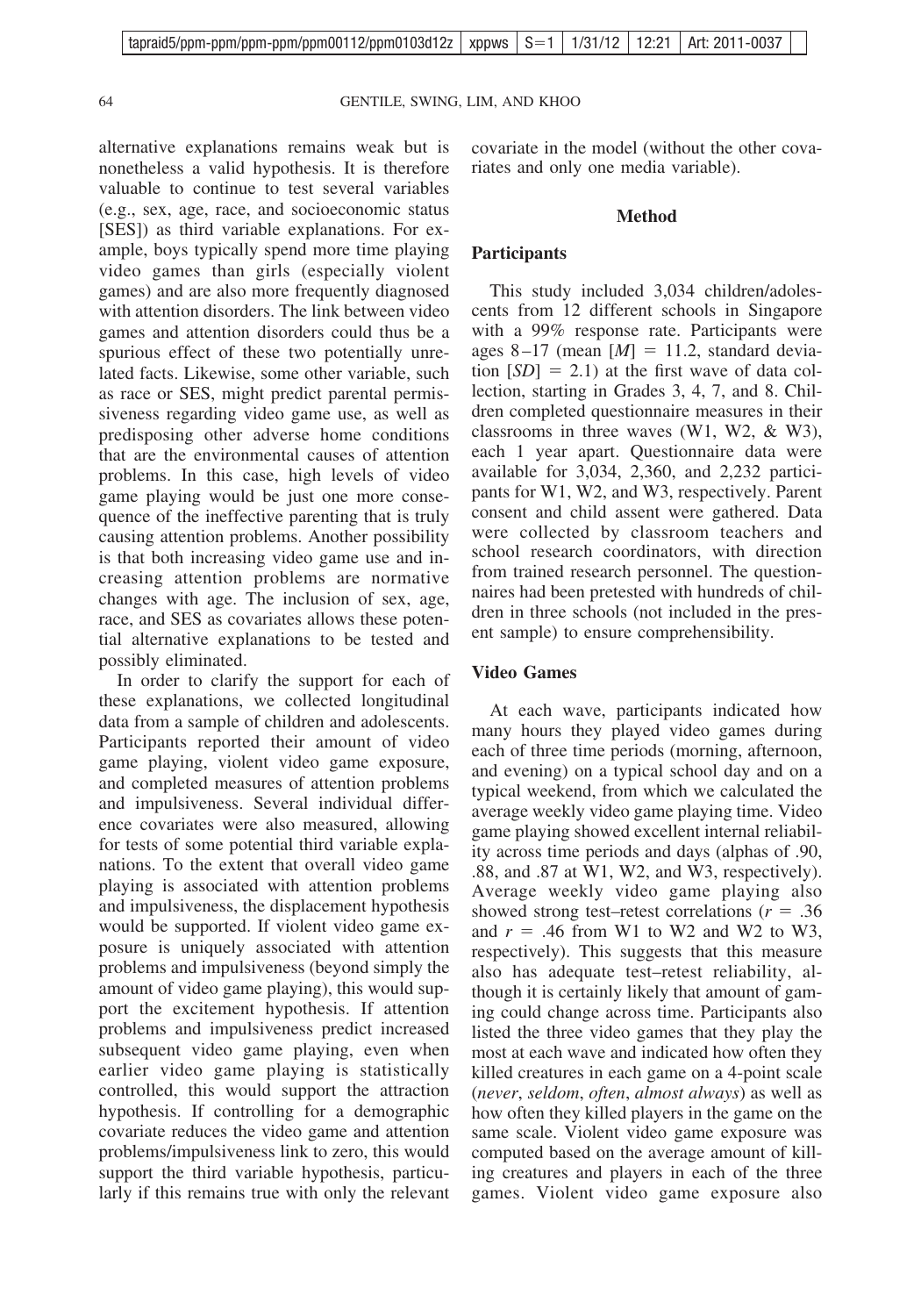alternative explanations remains weak but is nonetheless a valid hypothesis. It is therefore valuable to continue to test several variables (e.g., sex, age, race, and socioeconomic status [SES]) as third variable explanations. For example, boys typically spend more time playing video games than girls (especially violent games) and are also more frequently diagnosed with attention disorders. The link between video games and attention disorders could thus be a spurious effect of these two potentially unrelated facts. Likewise, some other variable, such as race or SES, might predict parental permissiveness regarding video game use, as well as predisposing other adverse home conditions that are the environmental causes of attention problems. In this case, high levels of video game playing would be just one more consequence of the ineffective parenting that is truly causing attention problems. Another possibility is that both increasing video game use and increasing attention problems are normative changes with age. The inclusion of sex, age, race, and SES as covariates allows these potential alternative explanations to be tested and possibly eliminated.

In order to clarify the support for each of these explanations, we collected longitudinal data from a sample of children and adolescents. Participants reported their amount of video game playing, violent video game exposure, and completed measures of attention problems and impulsiveness. Several individual difference covariates were also measured, allowing for tests of some potential third variable explanations. To the extent that overall video game playing is associated with attention problems and impulsiveness, the displacement hypothesis would be supported. If violent video game exposure is uniquely associated with attention problems and impulsiveness (beyond simply the amount of video game playing), this would support the excitement hypothesis. If attention problems and impulsiveness predict increased subsequent video game playing, even when earlier video game playing is statistically controlled, this would support the attraction hypothesis. If controlling for a demographic covariate reduces the video game and attention problems/impulsiveness link to zero, this would support the third variable hypothesis, particularly if this remains true with only the relevant

covariate in the model (without the other covariates and only one media variable).

# **Method**

### **Participants**

This study included 3,034 children/adolescents from 12 different schools in Singapore with a 99% response rate. Participants were ages 8-17 (mean  $[M] = 11.2$ , standard deviation  $[SD] = 2.1$ ) at the first wave of data collection, starting in Grades 3, 4, 7, and 8. Children completed questionnaire measures in their classrooms in three waves (W1, W2, & W3), each 1 year apart. Questionnaire data were available for 3,034, 2,360, and 2,232 participants for W1, W2, and W3, respectively. Parent consent and child assent were gathered. Data were collected by classroom teachers and school research coordinators, with direction from trained research personnel. The questionnaires had been pretested with hundreds of children in three schools (not included in the present sample) to ensure comprehensibility.

# **Video Games**

At each wave, participants indicated how many hours they played video games during each of three time periods (morning, afternoon, and evening) on a typical school day and on a typical weekend, from which we calculated the average weekly video game playing time. Video game playing showed excellent internal reliability across time periods and days (alphas of .90, .88, and .87 at W1, W2, and W3, respectively). Average weekly video game playing also showed strong test–retest correlations ( $r = .36$ ) and  $r = .46$  from W1 to W2 and W2 to W3, respectively). This suggests that this measure also has adequate test–retest reliability, although it is certainly likely that amount of gaming could change across time. Participants also listed the three video games that they play the most at each wave and indicated how often they killed creatures in each game on a 4-point scale (*never*, *seldom*, *often*, *almost always*) as well as how often they killed players in the game on the same scale. Violent video game exposure was computed based on the average amount of killing creatures and players in each of the three games. Violent video game exposure also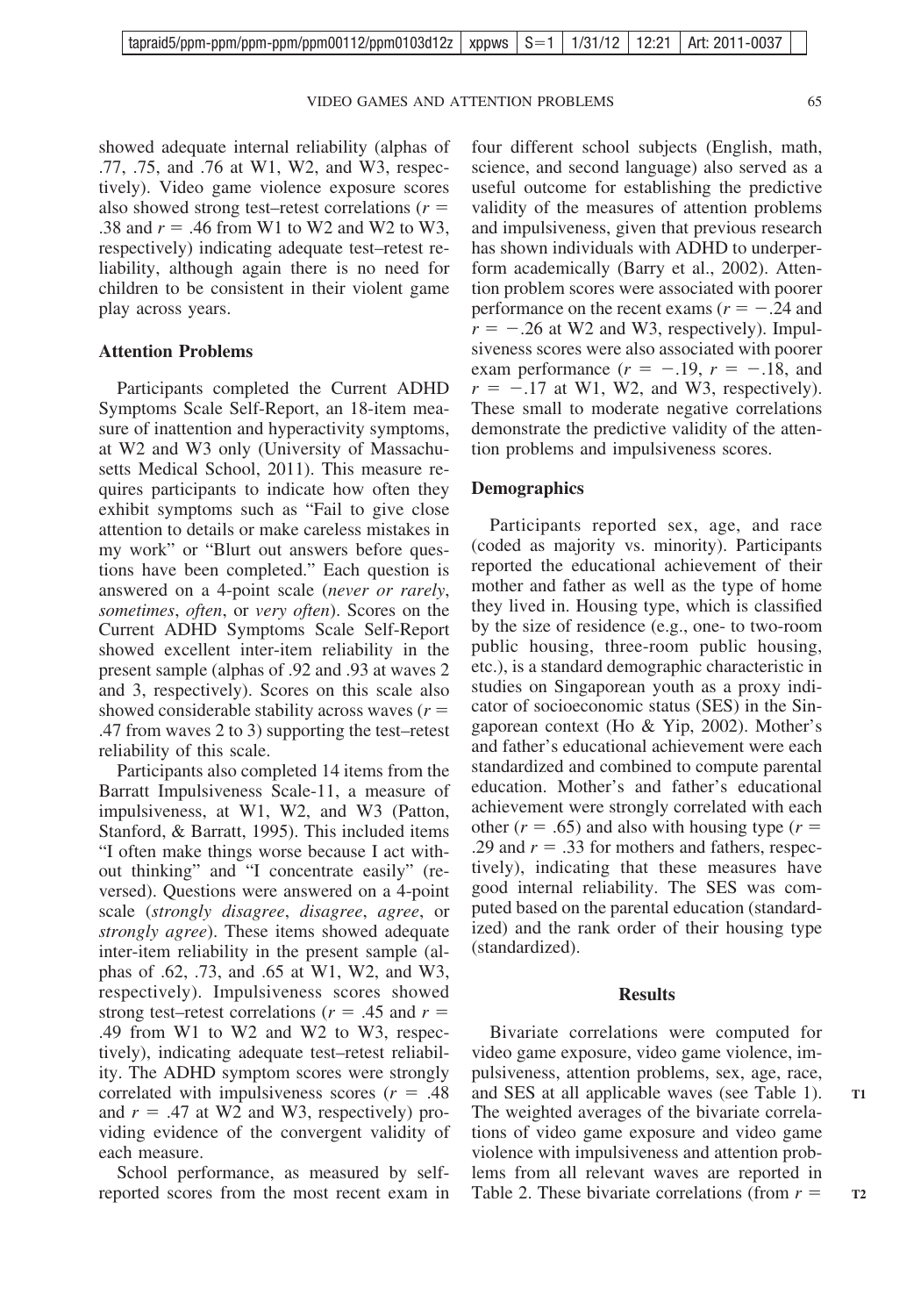showed adequate internal reliability (alphas of .77, .75, and .76 at W1, W2, and W3, respectively). Video game violence exposure scores also showed strong test–retest correlations (*r* .38 and  $r = .46$  from W1 to W2 and W2 to W3, respectively) indicating adequate test–retest reliability, although again there is no need for children to be consistent in their violent game play across years.

### **Attention Problems**

Participants completed the Current ADHD Symptoms Scale Self-Report, an 18-item measure of inattention and hyperactivity symptoms, at W2 and W3 only (University of Massachusetts Medical School, 2011). This measure requires participants to indicate how often they exhibit symptoms such as "Fail to give close attention to details or make careless mistakes in my work" or "Blurt out answers before questions have been completed." Each question is answered on a 4-point scale (*never or rarely*, *sometimes*, *often*, or *very often*). Scores on the Current ADHD Symptoms Scale Self-Report showed excellent inter-item reliability in the present sample (alphas of .92 and .93 at waves 2 and 3, respectively). Scores on this scale also showed considerable stability across waves (*r* .47 from waves 2 to 3) supporting the test–retest reliability of this scale.

Participants also completed 14 items from the Barratt Impulsiveness Scale-11, a measure of impulsiveness, at W1, W2, and W3 (Patton, Stanford, & Barratt, 1995). This included items "I often make things worse because I act without thinking" and "I concentrate easily" (reversed). Questions were answered on a 4-point scale (*strongly disagree*, *disagree*, *agree*, or *strongly agree*). These items showed adequate inter-item reliability in the present sample (alphas of .62, .73, and .65 at W1, W2, and W3, respectively). Impulsiveness scores showed strong test–retest correlations ( $r = .45$  and  $r =$ .49 from W1 to W2 and W2 to W3, respectively), indicating adequate test–retest reliability. The ADHD symptom scores were strongly correlated with impulsiveness scores  $(r = .48)$ and  $r = .47$  at W2 and W3, respectively) providing evidence of the convergent validity of each measure.

School performance, as measured by selfreported scores from the most recent exam in

four different school subjects (English, math, science, and second language) also served as a useful outcome for establishing the predictive validity of the measures of attention problems and impulsiveness, given that previous research has shown individuals with ADHD to underperform academically (Barry et al., 2002). Attention problem scores were associated with poorer performance on the recent exams  $(r = -.24$  and  $r = -.26$  at W2 and W3, respectively). Impulsiveness scores were also associated with poorer exam performance  $(r = -.19, r = -.18,$  and  $r = -.17$  at W1, W2, and W3, respectively). These small to moderate negative correlations demonstrate the predictive validity of the attention problems and impulsiveness scores.

#### **Demographics**

Participants reported sex, age, and race (coded as majority vs. minority). Participants reported the educational achievement of their mother and father as well as the type of home they lived in. Housing type, which is classified by the size of residence (e.g., one- to two-room public housing, three-room public housing, etc.), is a standard demographic characteristic in studies on Singaporean youth as a proxy indicator of socioeconomic status (SES) in the Singaporean context (Ho & Yip, 2002). Mother's and father's educational achievement were each standardized and combined to compute parental education. Mother's and father's educational achievement were strongly correlated with each other  $(r = .65)$  and also with housing type  $(r =$ .29 and  $r = .33$  for mothers and fathers, respectively), indicating that these measures have good internal reliability. The SES was computed based on the parental education (standardized) and the rank order of their housing type (standardized).

#### **Results**

Bivariate correlations were computed for video game exposure, video game violence, impulsiveness, attention problems, sex, age, race, and SES at all applicable waves (see Table 1). The weighted averages of the bivariate correlations of video game exposure and video game violence with impulsiveness and attention problems from all relevant waves are reported in Table 2. These bivariate correlations (from *r*

**T1**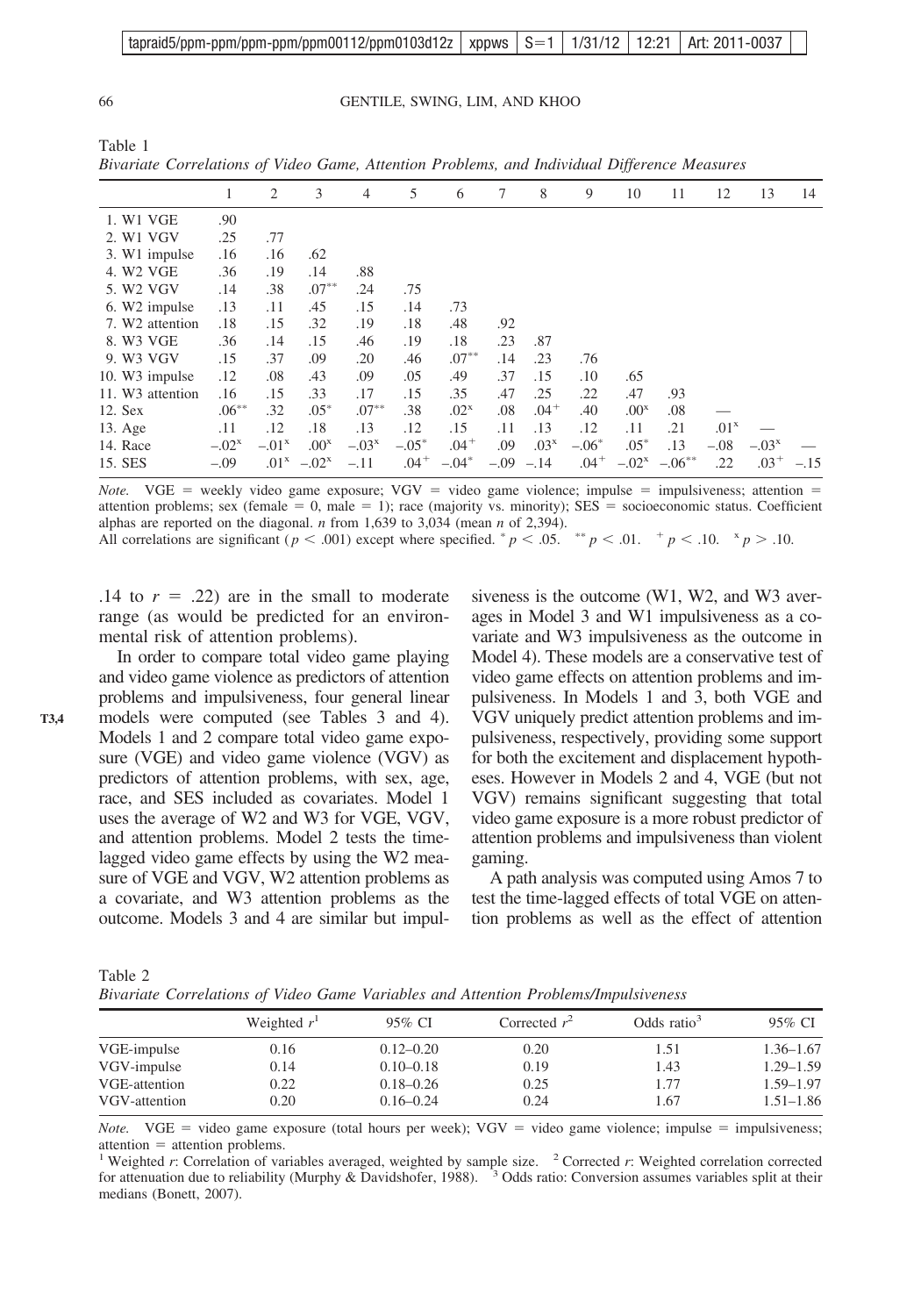| tapraid5/ppm-ppm/ppm-ppm/ppm00112/ppm0103d12z   xppws   S=1   1/31/12   12:21   Art: 2011-0037 |  |  |  |
|------------------------------------------------------------------------------------------------|--|--|--|
|                                                                                                |  |  |  |

66 GENTILE, SWING, LIM, AND KHOO

|                                     | 2        | 3                | $\overline{4}$     | 5       | 6                | 7   | 8                | 9         | 10               | 11        | 12               | 13        | 14     |
|-------------------------------------|----------|------------------|--------------------|---------|------------------|-----|------------------|-----------|------------------|-----------|------------------|-----------|--------|
| .90                                 |          |                  |                    |         |                  |     |                  |           |                  |           |                  |           |        |
| .25                                 | .77      |                  |                    |         |                  |     |                  |           |                  |           |                  |           |        |
| 3. W1 impulse<br>.16                | .16      | .62              |                    |         |                  |     |                  |           |                  |           |                  |           |        |
| .36                                 | .19      | .14              | .88                |         |                  |     |                  |           |                  |           |                  |           |        |
| .14                                 | .38      | $.07***$         | .24                | .75     |                  |     |                  |           |                  |           |                  |           |        |
| .13<br>6. W2 impulse                | .11      | .45              | .15                | .14     | .73              |     |                  |           |                  |           |                  |           |        |
| 7. W2 attention<br>.18              | .15      | .32              | .19                | .18     | .48              | .92 |                  |           |                  |           |                  |           |        |
| .36                                 | .14      | .15              | .46                | .19     | .18              | .23 | .87              |           |                  |           |                  |           |        |
| .15                                 | .37      | .09              | .20                | .46     | $.07***$         | .14 | .23              | .76       |                  |           |                  |           |        |
| .12<br>10. W3 impulse               | .08      | .43              | .09                | .05     | .49              | .37 | .15              | .10       | .65              |           |                  |           |        |
| 11. W <sub>3</sub> attention<br>.16 | .15      | .33              | .17                | .15     | .35              | .47 | .25              | .22       | .47              | .93       |                  |           |        |
|                                     | .32      | $.05*$           | $.07***$           | .38     | .02 <sup>x</sup> | .08 | $.04+$           | .40       | .00 <sup>x</sup> | .08       |                  |           |        |
| .11                                 | .12      | .18              | .13                | .12     | .15              | .11 | .13              | .12       | .11              | .21       | .01 <sup>x</sup> |           |        |
| $-.02^{\rm x}$                      | $-.01x$  | .00 <sup>x</sup> | $-.03x$            | $-.05*$ | $.04+$           | .09 | .03 <sup>x</sup> | $-.06*$   | $.05*$           | .13       | $-.08$           | $-.03x$   |        |
| $-.09$                              |          | $-.02^{x}$       | $-.11$             | $.04 +$ | $-.04*$          |     | $-.14$           | $.04^{+}$ |                  | $-.06***$ | .22              | $.03^{+}$ | $-.15$ |
|                                     | $.06***$ |                  | $.01^{\mathrm{x}}$ |         |                  |     |                  | $-.09$    |                  |           | $-.02^{x}$       |           |        |

*Bivariate Correlations of Video Game, Attention Problems, and Individual Difference Measures*

*Note.* VGE = weekly video game exposure; VGV = video game violence; impulse = impulsiveness; attention = attention problems; sex (female  $= 0$ , male  $= 1$ ); race (majority vs. minority); SES  $=$  socioeconomic status. Coefficient alphas are reported on the diagonal. *n* from 1,639 to 3,034 (mean *n* of 2,394). All correlations are significant ( $p < .001$ ) except where specified.  $p < .05$ .  $p < .01$ .  $p < .10$ .  $p > .10$ .

.14 to  $r = .22$ ) are in the small to moderate range (as would be predicted for an environmental risk of attention problems).

In order to compare total video game playing and video game violence as predictors of attention problems and impulsiveness, four general linear models were computed (see Tables 3 and 4). Models 1 and 2 compare total video game exposure (VGE) and video game violence (VGV) as predictors of attention problems, with sex, age, race, and SES included as covariates. Model 1 uses the average of W2 and W3 for VGE, VGV, and attention problems. Model 2 tests the timelagged video game effects by using the W2 measure of VGE and VGV, W2 attention problems as a covariate, and W3 attention problems as the outcome. Models 3 and 4 are similar but impulsiveness is the outcome (W1, W2, and W3 averages in Model 3 and W1 impulsiveness as a covariate and W3 impulsiveness as the outcome in Model 4). These models are a conservative test of video game effects on attention problems and impulsiveness. In Models 1 and 3, both VGE and VGV uniquely predict attention problems and impulsiveness, respectively, providing some support for both the excitement and displacement hypotheses. However in Models 2 and 4, VGE (but not VGV) remains significant suggesting that total video game exposure is a more robust predictor of attention problems and impulsiveness than violent gaming.

A path analysis was computed using Amos 7 to test the time-lagged effects of total VGE on attention problems as well as the effect of attention

| Table 2 |  |                                                                                     |  |
|---------|--|-------------------------------------------------------------------------------------|--|
|         |  | Bivariate Correlations of Video Game Variables and Attention Problems/Impulsiveness |  |

|               | Weighted $r1$ | 95% CI        | Corrected $r^2$ | Odds ratio $3$ | 95% CI        |
|---------------|---------------|---------------|-----------------|----------------|---------------|
| VGE-impulse   | 0.16          | $0.12 - 0.20$ | 0.20            | 1.51           | $1.36 - 1.67$ |
| VGV-impulse   | 0.14          | $0.10 - 0.18$ | 0.19            | 1.43           | $1.29 - 1.59$ |
| VGE-attention | 0.22          | $0.18 - 0.26$ | 0.25            | 1.77           | $1.59 - 1.97$ |
| VGV-attention | 0.20          | $0.16 - 0.24$ | 0.24            | 1.67           | $1.51 - 1.86$ |

*Note.* VGE = video game exposure (total hours per week); VGV = video game violence; impulse = impulsiveness; attention = attention problems.<br><sup>1</sup> Weighted *r*: Correlation of variables averaged, weighted by sample size. <sup>2</sup> Corrected *r*: Weighted correlation corrected

for attenuation due to reliability (Murphy & Davidshofer, 1988).  $3$  Odds ratio: Conversion assumes variables split at their medians (Bonett, 2007).

Table 1

**T3,4**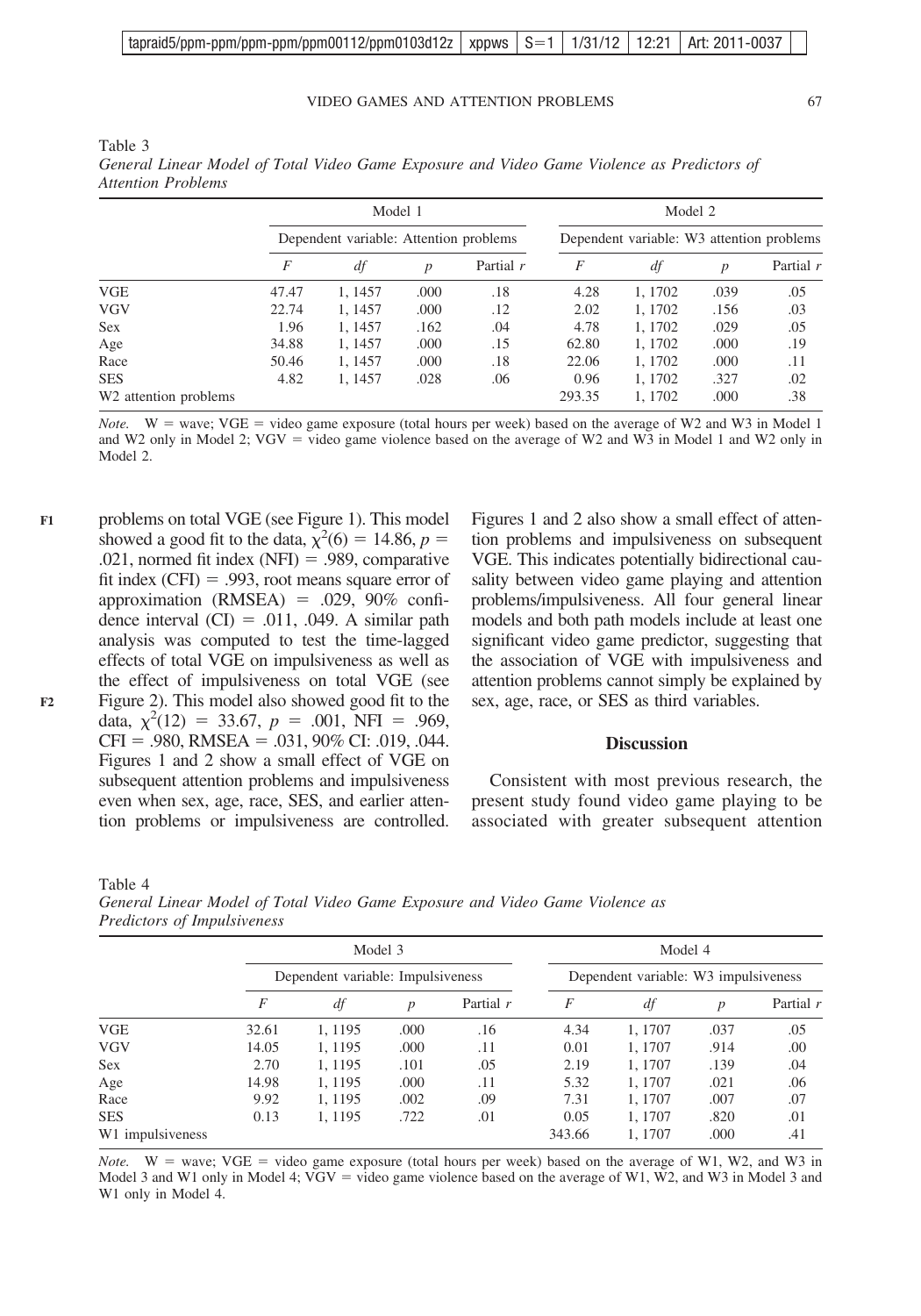| tapraid5/ppm-ppm/ppm-ppm/ppm00112/ppm0103d12z   xppws   S=1   1/31/12   12:21   Art: 2011-0037 |  |  |  |
|------------------------------------------------------------------------------------------------|--|--|--|
|                                                                                                |  |  |  |

#### VIDEO GAMES AND ATTENTION PROBLEMS 67

|                                   |                                        | Model 1 |                  |             | Model 2                                   |         |      |           |  |
|-----------------------------------|----------------------------------------|---------|------------------|-------------|-------------------------------------------|---------|------|-----------|--|
|                                   | Dependent variable: Attention problems |         |                  |             | Dependent variable: W3 attention problems |         |      |           |  |
|                                   | F                                      | df      | $\boldsymbol{p}$ | Partial $r$ | F                                         | df      | p    | Partial r |  |
| VGE                               | 47.47                                  | 1, 1457 | .000             | .18         | 4.28                                      | 1, 1702 | .039 | .05       |  |
| <b>VGV</b>                        | 22.74                                  | 1.1457  | .000             | .12         | 2.02                                      | 1, 1702 | .156 | .03       |  |
| <b>Sex</b>                        | 1.96                                   | 1.1457  | .162             | .04         | 4.78                                      | 1, 1702 | .029 | .05       |  |
| Age                               | 34.88                                  | 1, 1457 | .000             | .15         | 62.80                                     | 1, 1702 | .000 | .19       |  |
| Race                              | 50.46                                  | 1.1457  | .000             | .18         | 22.06                                     | 1, 1702 | .000 | .11       |  |
| <b>SES</b>                        | 4.82                                   | 1.1457  | .028             | .06         | 0.96                                      | 1, 1702 | .327 | .02       |  |
| W <sub>2</sub> attention problems |                                        |         |                  |             | 293.35                                    | 1, 1702 | .000 | .38       |  |

Table 3 *General Linear Model of Total Video Game Exposure and Video Game Violence as Predictors of Attention Problems*

*Note.*  $W = wave$ ; VGE = video game exposure (total hours per week) based on the average of W2 and W3 in Model 1 and W2 only in Model 2; VGV = video game violence based on the average of W2 and W3 in Model 1 and W2 only in Model 2.

problems on total VGE (see Figure 1). This model showed a good fit to the data,  $\chi^2(6) = 14.86$ ,  $p =$ .021, normed fit index  $(NFI) = .989$ , comparative fit index  $(CFI) = .993$ , root means square error of approximation (RMSEA)  $= .029, 90\%$  confidence interval  $(CI) = .011, .049$ . A similar path analysis was computed to test the time-lagged effects of total VGE on impulsiveness as well as the effect of impulsiveness on total VGE (see Figure 2). This model also showed good fit to the data,  $\chi^2(12) = 33.67$ ,  $p = .001$ , NFI = .969,  $CFI = .980$ , RMSEA = .031, 90% CI: .019, .044. Figures 1 and 2 show a small effect of VGE on subsequent attention problems and impulsiveness even when sex, age, race, SES, and earlier attention problems or impulsiveness are controlled. **F1**

Figures 1 and 2 also show a small effect of attention problems and impulsiveness on subsequent VGE. This indicates potentially bidirectional causality between video game playing and attention problems/impulsiveness. All four general linear models and both path models include at least one significant video game predictor, suggesting that the association of VGE with impulsiveness and attention problems cannot simply be explained by sex, age, race, or SES as third variables.

# **Discussion**

Consistent with most previous research, the present study found video game playing to be associated with greater subsequent attention

Table 4

| General Linear Model of Total Video Game Exposure and Video Game Violence as |  |  |  |  |
|------------------------------------------------------------------------------|--|--|--|--|
| Predictors of Impulsiveness                                                  |  |  |  |  |

|                  |                                   |         | Model 3          |             | Model 4 |                                      |                  |           |  |  |
|------------------|-----------------------------------|---------|------------------|-------------|---------|--------------------------------------|------------------|-----------|--|--|
|                  | Dependent variable: Impulsiveness |         |                  |             |         | Dependent variable: W3 impulsiveness |                  |           |  |  |
|                  | F                                 | df      | $\boldsymbol{p}$ | Partial $r$ | F       | df                                   | $\boldsymbol{p}$ | Partial r |  |  |
| <b>VGE</b>       | 32.61                             | 1.1195  | .000             | .16         | 4.34    | 1, 1707                              | .037             | .05       |  |  |
| <b>VGV</b>       | 14.05                             | 1, 1195 | .000             | .11         | 0.01    | 1, 1707                              | .914             | .00       |  |  |
| <b>Sex</b>       | 2.70                              | 1, 1195 | .101             | .05         | 2.19    | 1.1707                               | .139             | .04       |  |  |
| Age              | 14.98                             | 1.1195  | .000             | .11         | 5.32    | 1.1707                               | .021             | .06       |  |  |
| Race             | 9.92                              | 1.1195  | .002             | .09         | 7.31    | 1.1707                               | .007             | .07       |  |  |
| <b>SES</b>       | 0.13                              | 1.1195  | .722             | .01         | 0.05    | 1.1707                               | .820             | .01       |  |  |
| W1 impulsiveness |                                   |         |                  |             | 343.66  | 1, 1707                              | .000             | .41       |  |  |

*Note.*  $W = wave$ ;  $VGE = video game exposure (total hours per week) based on the average of W1, W2, and W3 in$ Model 3 and W1 only in Model 4; VGV = video game violence based on the average of W1, W2, and W3 in Model 3 and W1 only in Model 4.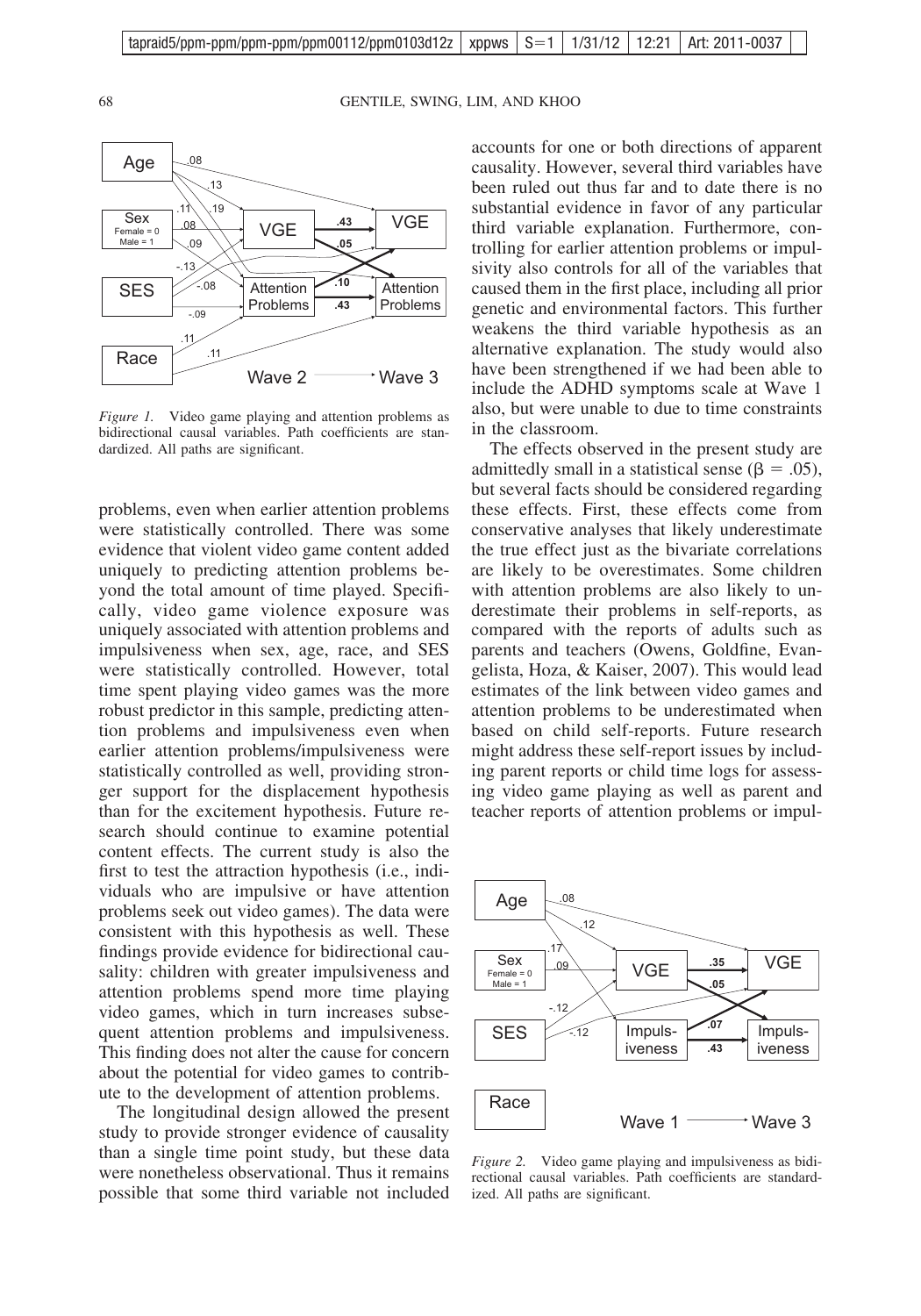68 GENTILE, SWING, LIM, AND KHOO



*Figure 1.* Video game playing and attention problems as bidirectional causal variables. Path coefficients are standardized. All paths are significant.

problems, even when earlier attention problems were statistically controlled. There was some evidence that violent video game content added uniquely to predicting attention problems beyond the total amount of time played. Specifically, video game violence exposure was uniquely associated with attention problems and impulsiveness when sex, age, race, and SES were statistically controlled. However, total time spent playing video games was the more robust predictor in this sample, predicting attention problems and impulsiveness even when earlier attention problems/impulsiveness were statistically controlled as well, providing stronger support for the displacement hypothesis than for the excitement hypothesis. Future research should continue to examine potential content effects. The current study is also the first to test the attraction hypothesis (i.e., individuals who are impulsive or have attention problems seek out video games). The data were consistent with this hypothesis as well. These findings provide evidence for bidirectional causality: children with greater impulsiveness and attention problems spend more time playing video games, which in turn increases subsequent attention problems and impulsiveness. This finding does not alter the cause for concern about the potential for video games to contribute to the development of attention problems.

The longitudinal design allowed the present study to provide stronger evidence of causality than a single time point study, but these data were nonetheless observational. Thus it remains possible that some third variable not included

accounts for one or both directions of apparent causality. However, several third variables have been ruled out thus far and to date there is no substantial evidence in favor of any particular third variable explanation. Furthermore, controlling for earlier attention problems or impulsivity also controls for all of the variables that caused them in the first place, including all prior genetic and environmental factors. This further weakens the third variable hypothesis as an alternative explanation. The study would also have been strengthened if we had been able to include the ADHD symptoms scale at Wave 1 also, but were unable to due to time constraints in the classroom.

The effects observed in the present study are admittedly small in a statistical sense ( $\beta = .05$ ), but several facts should be considered regarding these effects. First, these effects come from conservative analyses that likely underestimate the true effect just as the bivariate correlations are likely to be overestimates. Some children with attention problems are also likely to underestimate their problems in self-reports, as compared with the reports of adults such as parents and teachers (Owens, Goldfine, Evangelista, Hoza, & Kaiser, 2007). This would lead estimates of the link between video games and attention problems to be underestimated when based on child self-reports. Future research might address these self-report issues by including parent reports or child time logs for assessing video game playing as well as parent and teacher reports of attention problems or impul-



*Figure 2.* Video game playing and impulsiveness as bidirectional causal variables. Path coefficients are standardized. All paths are significant.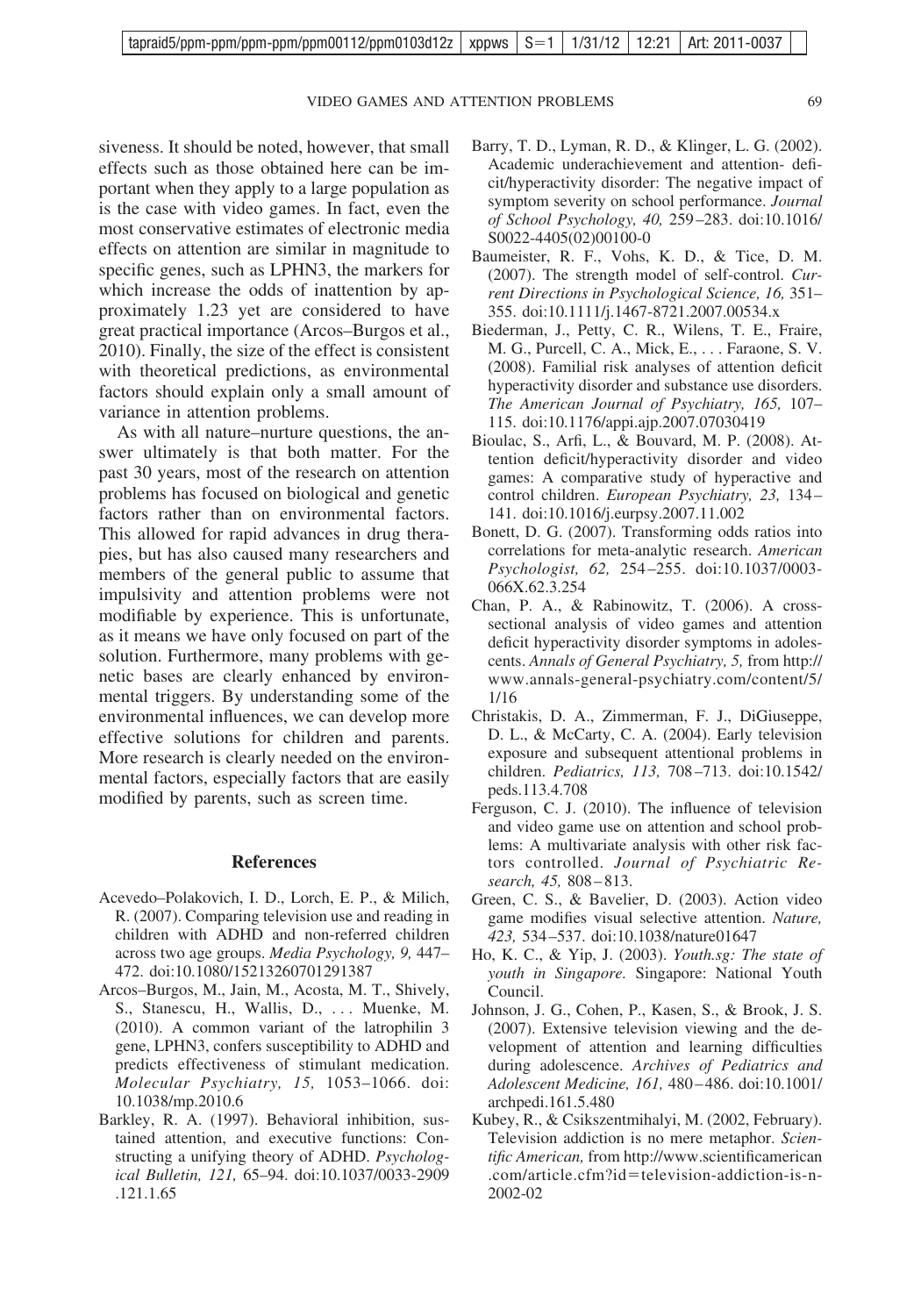VIDEO GAMES AND ATTENTION PROBLEMS 69

siveness. It should be noted, however, that small effects such as those obtained here can be important when they apply to a large population as is the case with video games. In fact, even the most conservative estimates of electronic media effects on attention are similar in magnitude to specific genes, such as LPHN3, the markers for which increase the odds of inattention by approximately 1.23 yet are considered to have great practical importance (Arcos–Burgos et al., 2010). Finally, the size of the effect is consistent with theoretical predictions, as environmental factors should explain only a small amount of variance in attention problems.

As with all nature–nurture questions, the answer ultimately is that both matter. For the past 30 years, most of the research on attention problems has focused on biological and genetic factors rather than on environmental factors. This allowed for rapid advances in drug therapies, but has also caused many researchers and members of the general public to assume that impulsivity and attention problems were not modifiable by experience. This is unfortunate, as it means we have only focused on part of the solution. Furthermore, many problems with genetic bases are clearly enhanced by environmental triggers. By understanding some of the environmental influences, we can develop more effective solutions for children and parents. More research is clearly needed on the environmental factors, especially factors that are easily modified by parents, such as screen time.

#### **References**

- Acevedo–Polakovich, I. D., Lorch, E. P., & Milich, R. (2007). Comparing television use and reading in children with ADHD and non-referred children across two age groups. *Media Psychology, 9,* 447– 472. [doi:10.1080/15213260701291387](http://dx.doi.org/10.1080/15213260701291387)
- Arcos–Burgos, M., Jain, M., Acosta, M. T., Shively, S., Stanescu, H., Wallis, D., . . . Muenke, M. (2010). A common variant of the latrophilin 3 gene, LPHN3, confers susceptibility to ADHD and predicts effectiveness of stimulant medication. *Molecular Psychiatry, 15,* 1053–1066. [doi:](http://dx.doi.org/10.1038/mp.2010.6) [10.1038/mp.2010.6](http://dx.doi.org/10.1038/mp.2010.6)
- Barkley, R. A. (1997). Behavioral inhibition, sustained attention, and executive functions: Constructing a unifying theory of ADHD. *Psychological Bulletin, 121,* 65–94. [doi:10.1037/0033-2909](http://dx.doi.org/10.1037/0033-2909) .121.1.65
- Barry, T. D., Lyman, R. D., & Klinger, L. G. (2002). Academic underachievement and attention- deficit/hyperactivity disorder: The negative impact of symptom severity on school performance. *Journal of School Psychology, 40,* 259 –283. [doi:10.1016/](http://dx.doi.org/10.1016/S0022-4405%2802%2900100-0) [S0022-4405\(02\)00100-0](http://dx.doi.org/10.1016/S0022-4405%2802%2900100-0)
- Baumeister, R. F., Vohs, K. D., & Tice, D. M. (2007). The strength model of self-control. *Current Directions in Psychological Science, 16,* 351– 355. [doi:10.1111/j.1467-8721.2007.00534.x](http://dx.doi.org/10.1111/j.1467-8721.2007.00534.x)
- Biederman, J., Petty, C. R., Wilens, T. E., Fraire, M. G., Purcell, C. A., Mick, E., . . . Faraone, S. V. (2008). Familial risk analyses of attention deficit hyperactivity disorder and substance use disorders. *The American Journal of Psychiatry, 165,* 107– 115. [doi:10.1176/appi.ajp.2007.07030419](http://dx.doi.org/10.1176/appi.ajp.2007.07030419)
- Bioulac, S., Arfi, L., & Bouvard, M. P. (2008). Attention deficit/hyperactivity disorder and video games: A comparative study of hyperactive and control children. *European Psychiatry, 23,* 134 – 141. [doi:10.1016/j.eurpsy.2007.11.002](http://dx.doi.org/10.1016/j.eurpsy.2007.11.002)
- Bonett, D. G. (2007). Transforming odds ratios into correlations for meta-analytic research. *American Psychologist, 62,* 254 –255. [doi:10.1037/0003-](http://dx.doi.org/10.1037/0003-066X.62.3.254) [066X.62.3.254](http://dx.doi.org/10.1037/0003-066X.62.3.254)
- Chan, P. A., & Rabinowitz, T. (2006). A crosssectional analysis of video games and attention deficit hyperactivity disorder symptoms in adolescents. *Annals of General Psychiatry, 5,* from http:// www.annals-general-psychiatry.com/content/5/ 1/16
- Christakis, D. A., Zimmerman, F. J., DiGiuseppe, D. L., & McCarty, C. A. (2004). Early television exposure and subsequent attentional problems in children. *Pediatrics, 113,* 708 –713. [doi:10.1542/](http://dx.doi.org/10.1542/peds.113.4.708) [peds.113.4.708](http://dx.doi.org/10.1542/peds.113.4.708)
- Ferguson, C. J. (2010). The influence of television and video game use on attention and school problems: A multivariate analysis with other risk factors controlled. *Journal of Psychiatric Research, 45,* 808 – 813.
- Green, C. S., & Bavelier, D. (2003). Action video game modifies visual selective attention. *Nature, 423,* 534 –537. [doi:10.1038/nature01647](http://dx.doi.org/10.1038/nature01647)
- Ho, K. C., & Yip, J. (2003). *Youth.sg: The state of youth in Singapore.* Singapore: National Youth Council.
- Johnson, J. G., Cohen, P., Kasen, S., & Brook, J. S. (2007). Extensive television viewing and the development of attention and learning difficulties during adolescence. *Archives of Pediatrics and Adolescent Medicine, 161,* 480 – 486. [doi:10.1001/](http://dx.doi.org/10.1001/archpedi.161.5.480) [archpedi.161.5.480](http://dx.doi.org/10.1001/archpedi.161.5.480)
- Kubey, R., & Csikszentmihalyi, M. (2002, February). Television addiction is no mere metaphor. *Scientific American,* from http://www.scientificamerican .com/article.cfm?id=television-addiction-is-n-2002-02